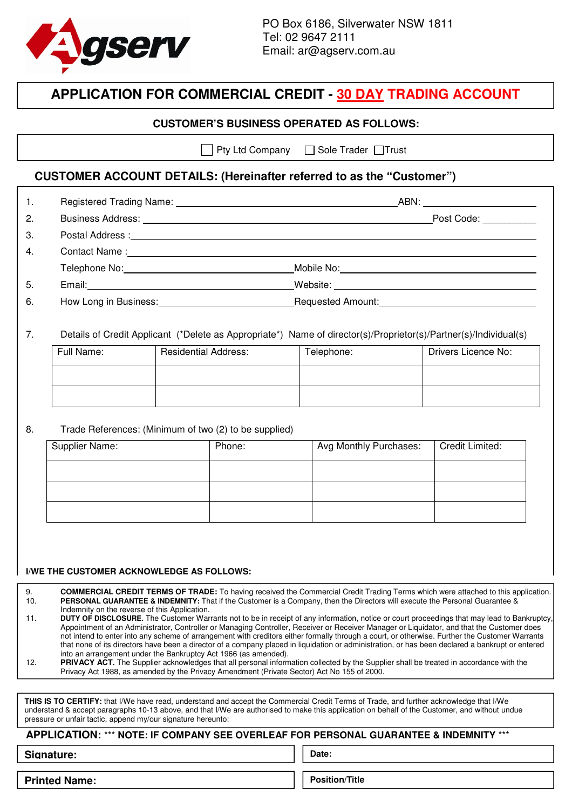

## **APPLICATION FOR COMMERCIAL CREDIT - 30 DAY TRADING ACCOUNT**

#### **CUSTOMER'S BUSINESS OPERATED AS FOLLOWS:**

 $\vert$  Pty Ltd Company  $\Box$  Sole Trader  $\Box$ Trust

### **CUSTOMER ACCOUNT DETAILS: (Hereinafter referred to as the "Customer")**

| $\mathbf{1}$ . |                                                                                                                                                                                                                                |  |        |                                                                                                                                                       |                        |                 |  |
|----------------|--------------------------------------------------------------------------------------------------------------------------------------------------------------------------------------------------------------------------------|--|--------|-------------------------------------------------------------------------------------------------------------------------------------------------------|------------------------|-----------------|--|
| 2.             |                                                                                                                                                                                                                                |  |        | Post Code:                                                                                                                                            |                        |                 |  |
| 3.             |                                                                                                                                                                                                                                |  |        |                                                                                                                                                       |                        |                 |  |
| 4.             | Contact Name: 1988 Contact Name: 1988 Contact Name: 1988 Contact Name: 1988 Contact Name: 1988 Contact Name: 1988 Contact Name: 1988 Contact Name: 1988 Contact Name: 1988 Contact Name: 1988 Contact Name: 1988 Contact Name: |  |        |                                                                                                                                                       |                        |                 |  |
|                |                                                                                                                                                                                                                                |  |        |                                                                                                                                                       |                        |                 |  |
| 5.             |                                                                                                                                                                                                                                |  |        |                                                                                                                                                       |                        |                 |  |
| 6.             |                                                                                                                                                                                                                                |  |        |                                                                                                                                                       |                        |                 |  |
| 7 <sub>1</sub> | Full Name:<br><b>Residential Address:</b>                                                                                                                                                                                      |  |        | Details of Credit Applicant (*Delete as Appropriate*) Name of director(s)/Proprietor(s)/Partner(s)/Individual(s)<br>Telephone:<br>Drivers Licence No: |                        |                 |  |
|                |                                                                                                                                                                                                                                |  |        |                                                                                                                                                       |                        |                 |  |
| 8.             | Trade References: (Minimum of two (2) to be supplied)                                                                                                                                                                          |  |        |                                                                                                                                                       |                        |                 |  |
|                | Supplier Name:                                                                                                                                                                                                                 |  | Phone: |                                                                                                                                                       | Avg Monthly Purchases: | Credit Limited: |  |
|                |                                                                                                                                                                                                                                |  |        |                                                                                                                                                       |                        |                 |  |
|                |                                                                                                                                                                                                                                |  |        |                                                                                                                                                       |                        |                 |  |
|                |                                                                                                                                                                                                                                |  |        |                                                                                                                                                       |                        |                 |  |
|                |                                                                                                                                                                                                                                |  |        |                                                                                                                                                       |                        |                 |  |

#### **I/WE THE CUSTOMER ACKNOWLEDGE AS FOLLOWS:**

9. **COMMERCIAL CREDIT TERMS OF TRADE:** To having received the Commercial Credit Trading Terms which were attached to this application.<br>10. PERSONAL GUARANTEE & INDEMNITY: That if the Customer is a Company, then the Directo **PERSONAL GUARANTEE & INDEMNITY:** That if the Customer is a Company, then the Directors will execute the Personal Guarantee & Indemnity on the reverse of this Application. 11. **DUTY OF DISCLOSURE.** The Customer Warrants not to be in receipt of any information, notice or court proceedings that may lead to Bankruptcy,

Appointment of an Administrator, Controller or Managing Controller, Receiver or Receiver Manager or Liquidator, and that the Customer does not intend to enter into any scheme of arrangement with creditors either formally through a court, or otherwise. Further the Customer Warrants that none of its directors have been a director of a company placed in liquidation or administration, or has been declared a bankrupt or entered into an arrangement under the Bankruptcy Act 1966 (as amended).

12. **PRIVACY ACT.** The Supplier acknowledges that all personal information collected by the Supplier shall be treated in accordance with the Privacy Act 1988, as amended by the Privacy Amendment (Private Sector) Act No 155 of 2000.

**THIS IS TO CERTIFY:** that I/We have read, understand and accept the Commercial Credit Terms of Trade, and further acknowledge that I/We understand & accept paragraphs 10-13 above, and that I/We are authorised to make this application on behalf of the Customer, and without undue pressure or unfair tactic, append my/our signature hereunto:

#### **APPLICATION:** \*\*\* **NOTE: IF COMPANY SEE OVERLEAF FOR PERSONAL GUARANTEE & INDEMNITY** \*\*\*

**Signature:**

**Date:**

**Printed Name:**

**Position/Title**